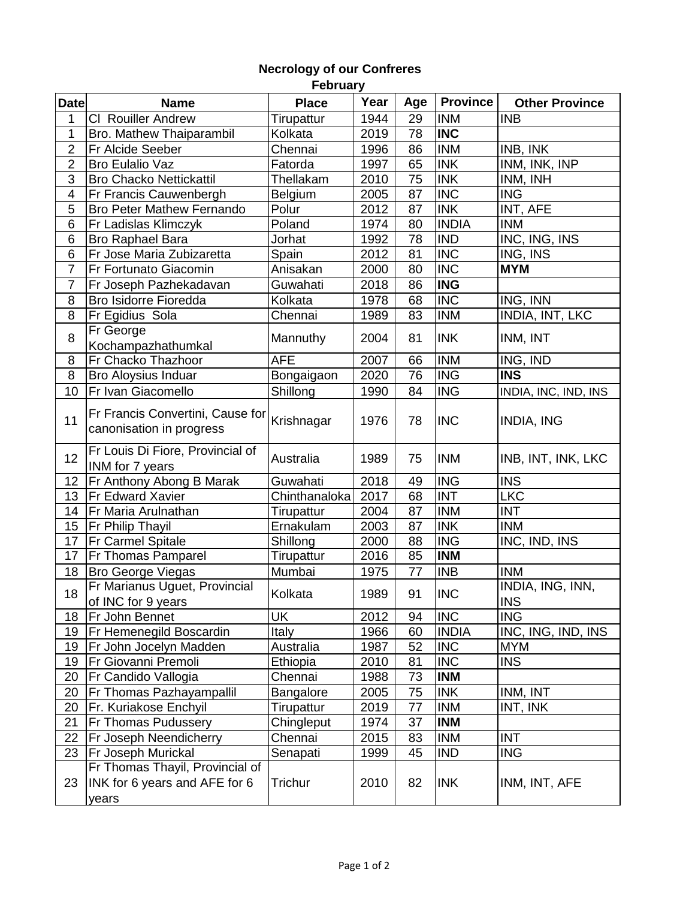## **Necrology of our Confreres February**

| <b>Date</b>             | <b>Name</b>                                                               | <b>Place</b>  | Year | Age | <b>Province</b> | <b>Other Province</b>          |
|-------------------------|---------------------------------------------------------------------------|---------------|------|-----|-----------------|--------------------------------|
| 1                       | <b>CI Rouiller Andrew</b>                                                 | Tirupattur    | 1944 | 29  | <b>INM</b>      | <b>INB</b>                     |
| 1                       | Bro. Mathew Thaiparambil                                                  | Kolkata       | 2019 | 78  | <b>INC</b>      |                                |
| $\overline{2}$          | Fr Alcide Seeber                                                          | Chennai       | 1996 | 86  | <b>INM</b>      | INB, INK                       |
| $\overline{2}$          | <b>Bro Eulalio Vaz</b>                                                    | Fatorda       | 1997 | 65  | <b>INK</b>      | INM, INK, INP                  |
| $\overline{3}$          | <b>Bro Chacko Nettickattil</b>                                            | Thellakam     | 2010 | 75  | <b>INK</b>      | INM, INH                       |
| $\overline{\mathbf{4}}$ | Fr Francis Cauwenbergh                                                    | Belgium       | 2005 | 87  | <b>INC</b>      | <b>ING</b>                     |
| 5                       | <b>Bro Peter Mathew Fernando</b>                                          | Polur         | 2012 | 87  | <b>INK</b>      | INT, AFE                       |
| $\,6$                   | Fr Ladislas Klimczyk                                                      | Poland        | 1974 | 80  | <b>INDIA</b>    | <b>INM</b>                     |
| $\,6$                   | <b>Bro Raphael Bara</b>                                                   | Jorhat        | 1992 | 78  | <b>IND</b>      | INC, ING, INS                  |
| 6                       | Fr Jose Maria Zubizaretta                                                 | Spain         | 2012 | 81  | <b>INC</b>      | ING, INS                       |
| $\overline{7}$          | Fr Fortunato Giacomin                                                     | Anisakan      | 2000 | 80  | <b>INC</b>      | <b>MYM</b>                     |
| $\overline{7}$          | Fr Joseph Pazhekadavan                                                    | Guwahati      | 2018 | 86  | <b>ING</b>      |                                |
| 8                       | <b>Bro Isidorre Fioredda</b>                                              | Kolkata       | 1978 | 68  | <b>INC</b>      | ING, INN                       |
| 8                       | Fr Egidius Sola                                                           | Chennai       | 1989 | 83  | <b>INM</b>      | INDIA, INT, LKC                |
|                         | Fr George                                                                 |               |      |     |                 |                                |
| 8                       | Kochampazhathumkal                                                        | Mannuthy      | 2004 | 81  | <b>INK</b>      | INM, INT                       |
| 8                       | Fr Chacko Thazhoor                                                        | <b>AFE</b>    | 2007 | 66  | <b>INM</b>      | ING, IND                       |
| 8                       | Bro Aloysius Induar                                                       | Bongaigaon    | 2020 | 76  | <b>ING</b>      | <b>INS</b>                     |
| 10                      | Fr Ivan Giacomello                                                        | Shillong      | 1990 | 84  | <b>ING</b>      | INDIA, INC, IND, INS           |
| 11                      | Fr Francis Convertini, Cause for<br>canonisation in progress              | Krishnagar    | 1976 | 78  | <b>INC</b>      | <b>INDIA, ING</b>              |
| 12                      | Fr Louis Di Fiore, Provincial of<br>INM for 7 years                       | Australia     | 1989 | 75  | <b>INM</b>      | INB, INT, INK, LKC             |
| 12                      | Fr Anthony Abong B Marak                                                  | Guwahati      | 2018 | 49  | <b>ING</b>      | <b>INS</b>                     |
| 13                      | <b>Fr Edward Xavier</b>                                                   | Chinthanaloka | 2017 | 68  | <b>INT</b>      | <b>LKC</b>                     |
| 14                      | Fr Maria Arulnathan                                                       | Tirupattur    | 2004 | 87  | <b>INM</b>      | <b>INT</b>                     |
| 15                      | Fr Philip Thayil                                                          | Ernakulam     | 2003 | 87  | <b>INK</b>      | <b>INM</b>                     |
| 17                      | Fr Carmel Spitale                                                         | Shillong      | 2000 | 88  | <b>ING</b>      | INC, IND, INS                  |
| 17 <sup>1</sup>         | Fr Thomas Pamparel                                                        | Tirupattur    | 2016 | 85  | <b>INM</b>      |                                |
| 18                      | <b>Bro George Viegas</b>                                                  | Mumbai        | 1975 | 77  | <b>INB</b>      | <b>INM</b>                     |
| 18                      | Fr Marianus Uguet, Provincial<br>of INC for 9 years                       | Kolkata       | 1989 | 91  | <b>INC</b>      | INDIA, ING, INN,<br><b>INS</b> |
| 18                      | Fr John Bennet                                                            | UK            | 2012 | 94  | <b>INC</b>      | <b>ING</b>                     |
| 19                      | <b>Fr Hemenegild Boscardin</b>                                            | <b>Italy</b>  | 1966 | 60  | <b>INDIA</b>    | INC, ING, IND, INS             |
| 19                      | Fr John Jocelyn Madden                                                    | Australia     | 1987 | 52  | <b>INC</b>      | <b>MYM</b>                     |
| 19                      | Fr Giovanni Premoli                                                       | Ethiopia      | 2010 | 81  | <b>INC</b>      | <b>INS</b>                     |
| 20                      | Fr Candido Vallogia                                                       | Chennai       | 1988 | 73  | <b>INM</b>      |                                |
| 20                      | Fr Thomas Pazhayampallil                                                  | Bangalore     | 2005 | 75  | <b>INK</b>      | INM, INT                       |
| 20                      | Fr. Kuriakose Enchyil                                                     | Tirupattur    | 2019 | 77  | <b>INM</b>      | INT, INK                       |
| 21                      | Fr Thomas Pudussery                                                       | Chingleput    | 1974 | 37  | <b>INM</b>      |                                |
| 22                      | Fr Joseph Neendicherry                                                    | Chennai       | 2015 | 83  | <b>INM</b>      | <b>INT</b>                     |
| 23                      | Fr Joseph Murickal                                                        | Senapati      | 1999 | 45  | <b>IND</b>      | <b>ING</b>                     |
| 23                      | Fr Thomas Thayil, Provincial of<br>INK for 6 years and AFE for 6<br>years | Trichur       | 2010 | 82  | <b>INK</b>      | INM, INT, AFE                  |